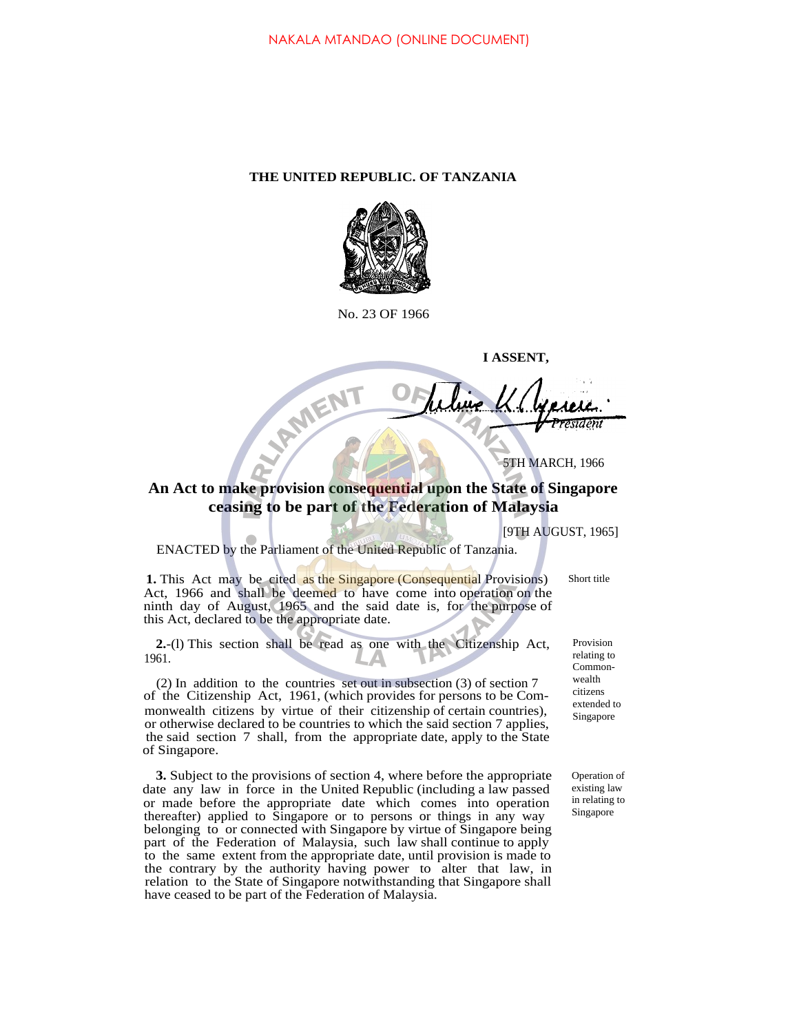## **THE UNITED REPUBLIC. OF TANZANIA**



No. 23 OF 1966

**I ASSENT, JAMENT** 

5TH MARCH, 1966

## **An Act to make provision consequential upon the State of Singapore ceasing to be part of the Federation of Malaysia**

[9TH AUGUST, 1965]

ENACTED by the Parliament of the United Republic of Tanzania.

**1.** This Act may be cited as the Singapore (Consequential Provisions) Act, 1966 and shall be deemed to have come into operation on the ninth day of August, 1965 and the said date is, for the purpose of this Act, declared to be the appropriate date.

**2.**-(l) This section shall be read as one with the Citizenship Act, 1961.

(2) In addition to the countries set out in subsection (3) of section 7 of the Citizenship Act, 1961, (which provides for persons to be Commonwealth citizens by virtue of their citizenship of certain countries), or otherwise declared to be countries to which the said section 7 applies, the said section 7 shall, from the appropriate date, apply to the State of Singapore.

**3.** Subject to the provisions of section 4, where before the appropriate date any law in force in the United Republic (including a law passed or made before the appropriate date which comes into operation thereafter) applied to Singapore or to persons or things in any way belonging to or connected with Singapore by virtue of Singapore being part of the Federation of Malaysia, such law shall continue to apply to the same extent from the appropriate date, until provision is made to the contrary by the authority having power to alter that law, in relation to the State of Singapore notwithstanding that Singapore shall have ceased to be part of the Federation of Malaysia.

Provision relating to Commonwealth citizens extended to

Singapore

Short title

Operation of existing law in relating to Singapore